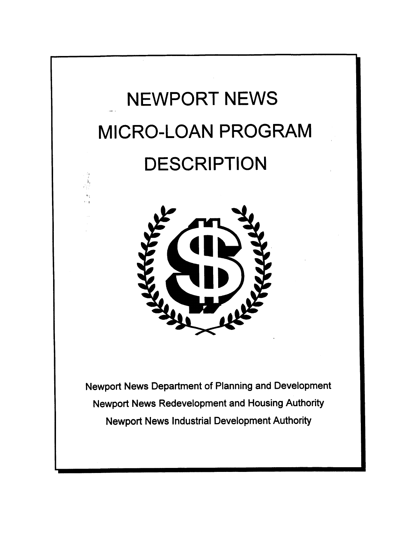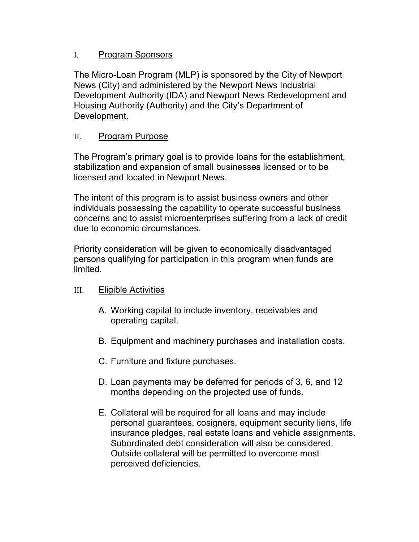## I. Program Sponsors

The Micro-Loan Program (MLP) is sponsored by the City of Newport News (City) and administered by the Newport News Industrial Development Authority (IDA) and Newport News Redevelopment and Housing Authority (Authority) and the City's Department of Development.

## II. Program Purpose

The Program's primary goal is to provide loans for the establishment, stabilization and expansion of small businesses licensed or to be licensed and located in Newport News.

The intent of this program is to assist business owners and other individuals possessing the capability to operate successful business concerns and to assist microenterprises suffering from a lack of credit due to economic circumstances.

Priority consideration will be given to economically disadvantaged persons qualifying for participation in this program when funds are limited.

# III. Eligible Activities

- A. Working capital to include inventory, receivables and operating capital.
- B. Equipment and machinery purchases and installation costs.
- C. Furniture and fixture purchases.
- D. Loan payments may be deferred for periods of 3, 6, and 12 months depending on the projected use of funds.
- E. Collateral will be required for all loans and may include personal guarantees, cosigners, equipment security liens, life insurance pledges, real estate loans and vehicle assignments. Subordinated debt consideration will also be considered. Outside collateral will be permitted to overcome most perceived deficiencies.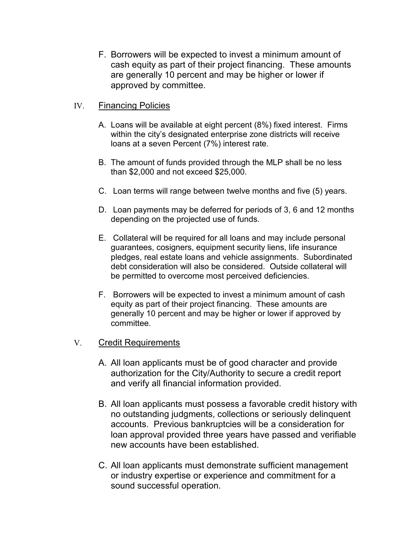F. Borrowers will be expected to invest a minimum amount of cash equity as part of their project financing. These amounts are generally 10 percent and may be higher or lower if approved by committee.

## IV. Financing Policies

- A. Loans will be available at eight percent (8%) fixed interest. Firms within the city's designated enterprise zone districts will receive loans at a seven Percent (7%) interest rate.
- B. The amount of funds provided through the MLP shall be no less than \$2,000 and not exceed \$25,000.
- C. Loan terms will range between twelve months and five (5) years.
- D. Loan payments may be deferred for periods of 3, 6 and 12 months depending on the projected use of funds.
- E. Collateral will be required for all loans and may include personal guarantees, cosigners, equipment security liens, life insurance pledges, real estate loans and vehicle assignments. Subordinated debt consideration will also be considered. Outside collateral will be permitted to overcome most perceived deficiencies.
- F. Borrowers will be expected to invest a minimum amount of cash equity as part of their project financing. These amounts are generally 10 percent and may be higher or lower if approved by committee.

# V. Credit Requirements

- A. All loan applicants must be of good character and provide authorization for the City/Authority to secure a credit report and verify all financial information provided.
- B. All loan applicants must possess a favorable credit history with no outstanding judgments, collections or seriously delinquent accounts. Previous bankruptcies will be a consideration for loan approval provided three years have passed and verifiable new accounts have been established.
- C. All loan applicants must demonstrate sufficient management or industry expertise or experience and commitment for a sound successful operation.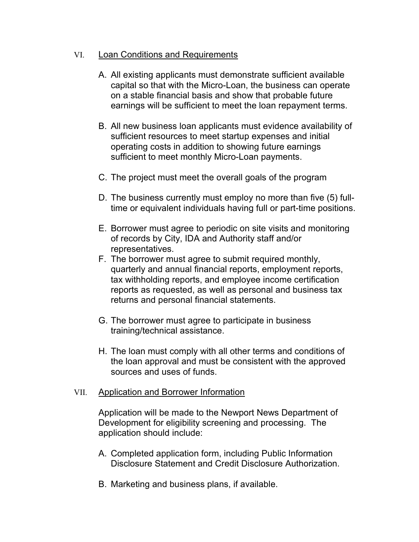## VI. Loan Conditions and Requirements

- A. All existing applicants must demonstrate sufficient available capital so that with the Micro-Loan, the business can operate on a stable financial basis and show that probable future earnings will be sufficient to meet the loan repayment terms.
- B. All new business loan applicants must evidence availability of sufficient resources to meet startup expenses and initial operating costs in addition to showing future earnings sufficient to meet monthly Micro-Loan payments.
- C. The project must meet the overall goals of the program
- D. The business currently must employ no more than five (5) fulltime or equivalent individuals having full or part-time positions.
- E. Borrower must agree to periodic on site visits and monitoring of records by City, IDA and Authority staff and/or representatives.
- F. The borrower must agree to submit required monthly, quarterly and annual financial reports, employment reports, tax withholding reports, and employee income certification reports as requested, as well as personal and business tax returns and personal financial statements.
- G. The borrower must agree to participate in business training/technical assistance.
- H. The loan must comply with all other terms and conditions of the loan approval and must be consistent with the approved sources and uses of funds.

#### VII. Application and Borrower Information

Application will be made to the Newport News Department of Development for eligibility screening and processing. The application should include:

- A. Completed application form, including Public Information Disclosure Statement and Credit Disclosure Authorization.
- B. Marketing and business plans, if available.